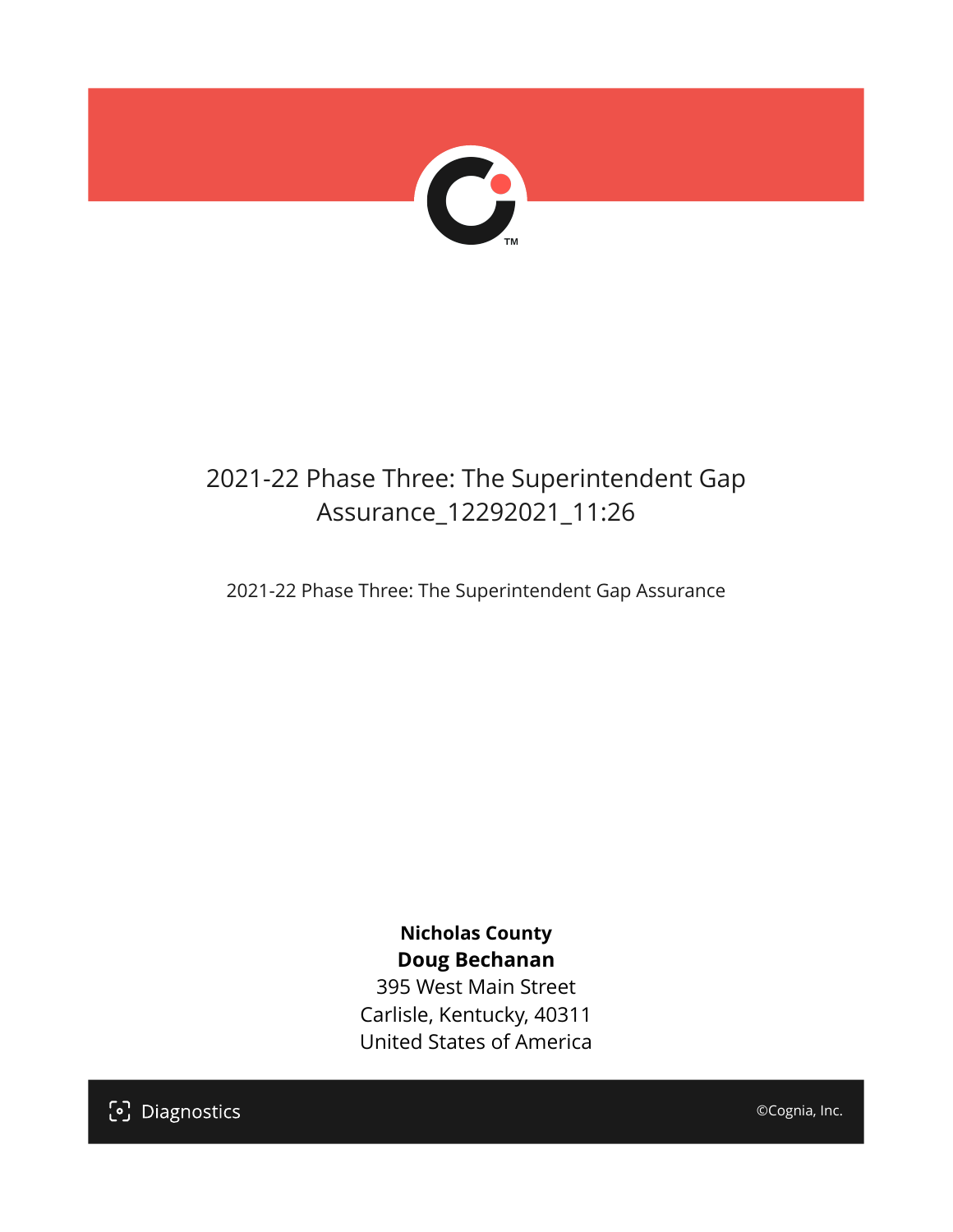

# 2021-22 Phase Three: The Superintendent Gap Assurance\_12292021\_11:26

2021-22 Phase Three: The Superintendent Gap Assurance

**Nicholas County Doug Bechanan**

395 West Main Street Carlisle, Kentucky, 40311 United States of America

[၁] Diagnostics

©Cognia, Inc.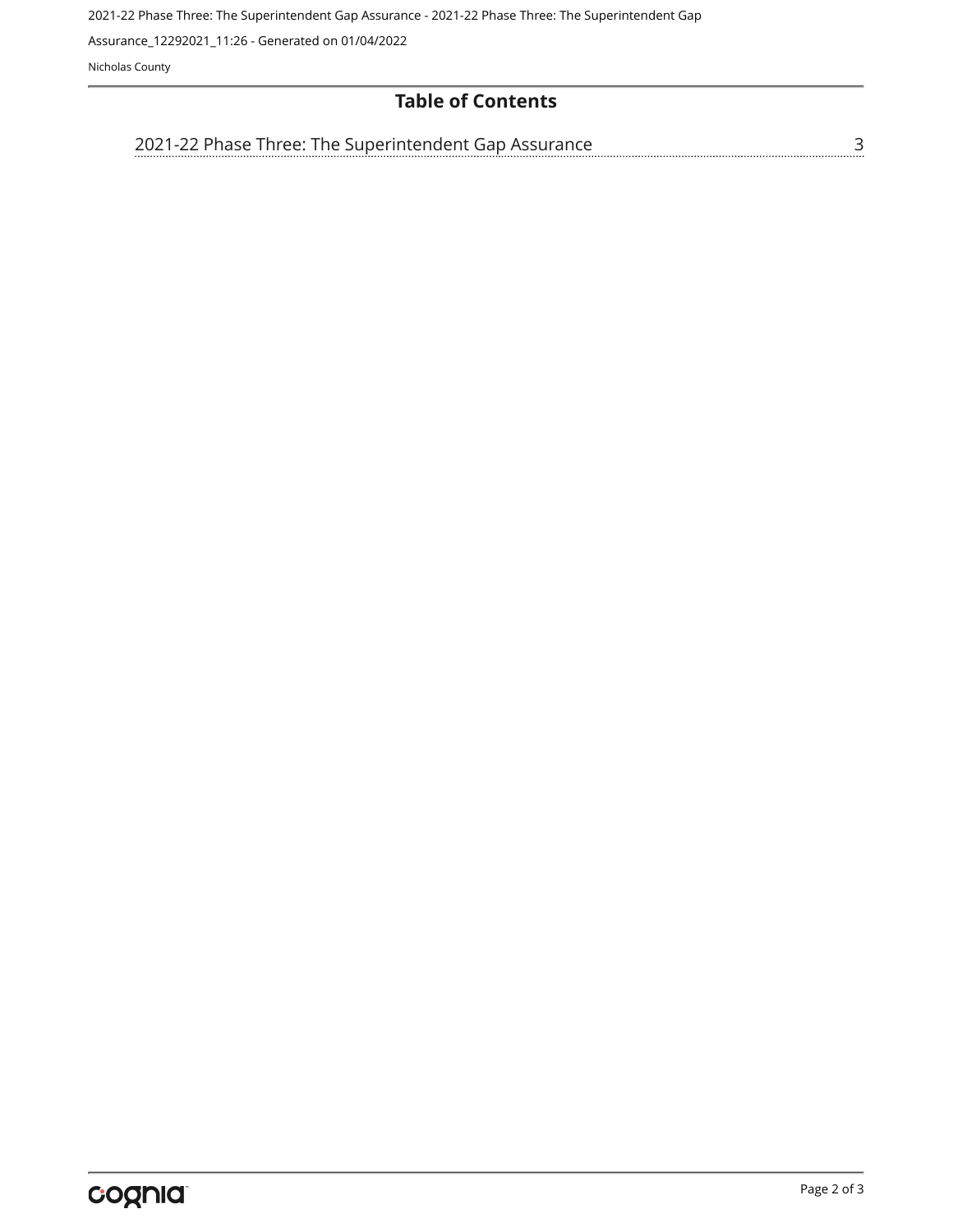2021-22 Phase Three: The Superintendent Gap Assurance - 2021-22 Phase Three: The Superintendent Gap

Assurance\_12292021\_11:26 - Generated on 01/04/2022

Nicholas County

### **Table of Contents**

| 2021-22 Phase Three: The Superintendent Gap Assurance |  |
|-------------------------------------------------------|--|
|                                                       |  |